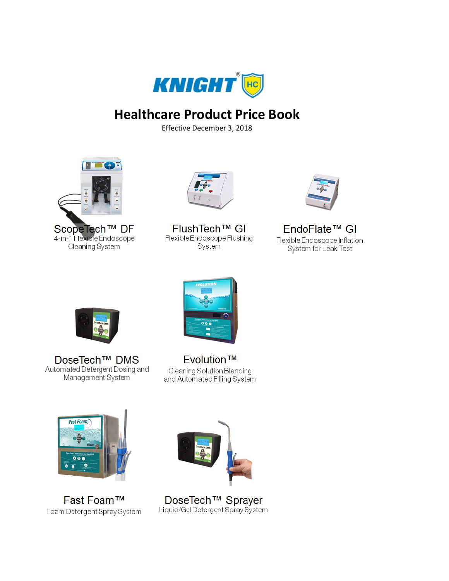

## **Healthcare Product Price Book**

Effective December 3, 2018



ScopeTech™ DF 4-in-1 Flexible Endoscope Cleaning System



FlushTech™ GI Flexible Endoscope Flushing System



EndoFlate<sup>™</sup> Gl Flexible Endoscope Inflation System for Leak Test



DoseTech<sup>™</sup> DMS Automated Detergent Dosing and Management System



Evolution™ Cleaning Solution Blending and Automated Filling System



Fast Foam™ Foam Detergent Spray System



DoseTech<sup>™</sup> Sprayer Liquid/Gel Detergent Spray System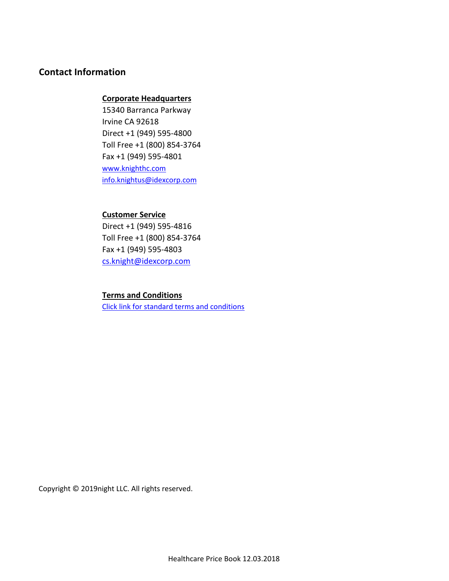## **Contact Information**

### **Corporate Headquarters**

15340 Barranca Parkway Irvine CA 92618 Direct +1 (949) 595-4800 Toll Free +1 (800) 854-3764 Fax +1 (949) 595-4801 [www.knighthc.com](http://www.knighthc.com/) [info.knightus@idexcorp.com](mailto:info.knightus@idexcorp.com)

### **Customer Service**

Direct +1 (949) 595-4816 Toll Free +1 (800) 854-3764 Fax +1 (949) 595-4803 [cs.knight@idexcorp.com](mailto:cs.knight@idexcorp.com)

### **Terms and Conditions**

[Click link for standard terms and conditions](http://www.knightequip.com/terms.html)

Copyright © 2019night LLC. All rights reserved.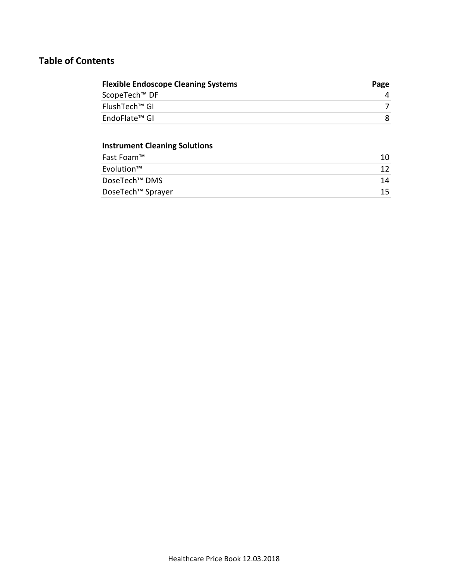## **Table of Contents**

| <b>Flexible Endoscope Cleaning Systems</b> | Page |
|--------------------------------------------|------|
| ScopeTech <sup>™</sup> DF                  |      |
| FlushTech™ GI                              |      |
| EndoFlate™ GI                              |      |

## **Instrument Cleaning Solutions**

| Fast Foam™                |     |
|---------------------------|-----|
| Evolution™                |     |
| DoseTech <sup>™</sup> DMS | 14  |
| DoseTech™ Sprayer         | 15. |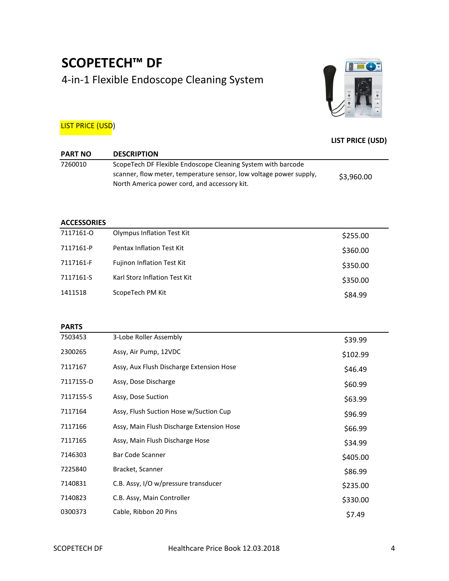## **SCOPETECH™ DF**  4-in-1 Flexible Endoscope Cleaning System



### **LIST PRICE (USD)**

## **LIST PRICE (USD)**

| <b>PART NO</b> | <b>DESCRIPTION</b>                                                 |            |  |
|----------------|--------------------------------------------------------------------|------------|--|
| 7260010        | ScopeTech DF Flexible Endoscope Cleaning System with barcode       |            |  |
|                | scanner, flow meter, temperature sensor, low voltage power supply, | \$3,960.00 |  |
|                | North America power cord, and accessory kit.                       |            |  |

#### **ACCESSORIES**

| 7117161-0 | <b>Olympus Inflation Test Kit</b> | \$255.00 |
|-----------|-----------------------------------|----------|
| 7117161-P | <b>Pentax Inflation Test Kit</b>  | \$360.00 |
| 7117161-F | <b>Fujinon Inflation Test Kit</b> | \$350.00 |
| 7117161-S | Karl Storz Inflation Test Kit     | \$350.00 |
| 1411518   | ScopeTech PM Kit                  | \$84.99  |
|           |                                   |          |

| <b>PARTS</b> |                                           |          |
|--------------|-------------------------------------------|----------|
| 7503453      | 3-Lobe Roller Assembly                    | \$39.99  |
| 2300265      | Assy, Air Pump, 12VDC                     | \$102.99 |
| 7117167      | Assy, Aux Flush Discharge Extension Hose  | \$46.49  |
| 7117155-D    | Assy, Dose Discharge                      | \$60.99  |
| 7117155-S    | Assy, Dose Suction                        | \$63.99  |
| 7117164      | Assy, Flush Suction Hose w/Suction Cup    | \$96.99  |
| 7117166      | Assy, Main Flush Discharge Extension Hose | \$66.99  |
| 7117165      | Assy, Main Flush Discharge Hose           | \$34.99  |
| 7146303      | Bar Code Scanner                          | \$405.00 |
| 7225840      | Bracket, Scanner                          | \$86.99  |
| 7140831      | C.B. Assy, I/O w/pressure transducer      | \$235.00 |
| 7140823      | C.B. Assy, Main Controller                | \$330.00 |
| 0300373      | Cable, Ribbon 20 Pins                     | \$7.49   |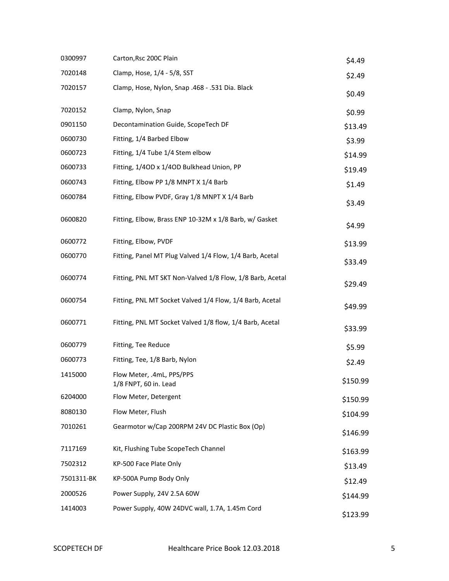| 0300997    | Carton, Rsc 200C Plain                                    | \$4.49   |
|------------|-----------------------------------------------------------|----------|
| 7020148    | Clamp, Hose, 1/4 - 5/8, SST                               | \$2.49   |
| 7020157    | Clamp, Hose, Nylon, Snap .468 - .531 Dia. Black           | \$0.49   |
| 7020152    | Clamp, Nylon, Snap                                        | \$0.99   |
| 0901150    | Decontamination Guide, ScopeTech DF                       | \$13.49  |
| 0600730    | Fitting, 1/4 Barbed Elbow                                 | \$3.99   |
| 0600723    | Fitting, 1/4 Tube 1/4 Stem elbow                          | \$14.99  |
| 0600733    | Fitting, 1/40D x 1/40D Bulkhead Union, PP                 | \$19.49  |
| 0600743    | Fitting, Elbow PP 1/8 MNPT X 1/4 Barb                     | \$1.49   |
| 0600784    | Fitting, Elbow PVDF, Gray 1/8 MNPT X 1/4 Barb             | \$3.49   |
| 0600820    | Fitting, Elbow, Brass ENP 10-32M x 1/8 Barb, w/ Gasket    | \$4.99   |
| 0600772    | Fitting, Elbow, PVDF                                      | \$13.99  |
| 0600770    | Fitting, Panel MT Plug Valved 1/4 Flow, 1/4 Barb, Acetal  | \$33.49  |
| 0600774    | Fitting, PNL MT SKT Non-Valved 1/8 Flow, 1/8 Barb, Acetal | \$29.49  |
| 0600754    | Fitting, PNL MT Socket Valved 1/4 Flow, 1/4 Barb, Acetal  | \$49.99  |
| 0600771    | Fitting, PNL MT Socket Valved 1/8 flow, 1/4 Barb, Acetal  | \$33.99  |
| 0600779    | Fitting, Tee Reduce                                       | \$5.99   |
| 0600773    | Fitting, Tee, 1/8 Barb, Nylon                             | \$2.49   |
| 1415000    | Flow Meter, .4mL, PPS/PPS<br>1/8 FNPT, 60 in. Lead        | \$150.99 |
| 6204000    | Flow Meter, Detergent                                     | \$150.99 |
| 8080130    | Flow Meter, Flush                                         | \$104.99 |
| 7010261    | Gearmotor w/Cap 200RPM 24V DC Plastic Box (Op)            | \$146.99 |
| 7117169    | Kit, Flushing Tube ScopeTech Channel                      | \$163.99 |
| 7502312    | KP-500 Face Plate Only                                    | \$13.49  |
| 7501311-BK | KP-500A Pump Body Only                                    | \$12.49  |
| 2000526    | Power Supply, 24V 2.5A 60W                                | \$144.99 |
| 1414003    | Power Supply, 40W 24DVC wall, 1.7A, 1.45m Cord            | \$123.99 |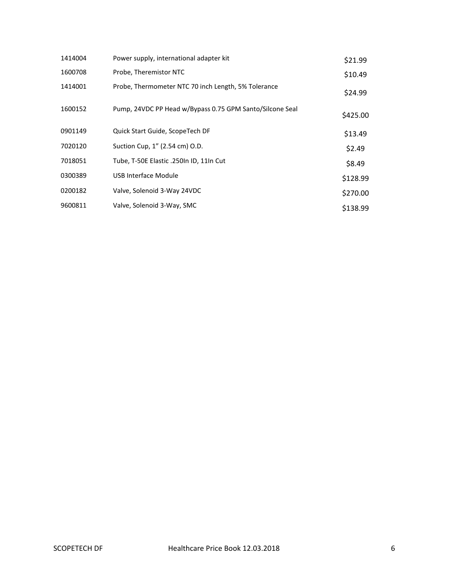| 1414004 | Power supply, international adapter kit                  | \$21.99  |
|---------|----------------------------------------------------------|----------|
| 1600708 | Probe, Theremistor NTC                                   | \$10.49  |
| 1414001 | Probe, Thermometer NTC 70 inch Length, 5% Tolerance      | \$24.99  |
| 1600152 | Pump, 24VDC PP Head w/Bypass 0.75 GPM Santo/Silcone Seal | \$425.00 |
| 0901149 | Quick Start Guide, ScopeTech DF                          | \$13.49  |
| 7020120 | Suction Cup, 1" (2.54 cm) O.D.                           | \$2.49   |
| 7018051 | Tube, T-50E Elastic .250In ID, 11In Cut                  | \$8.49   |
| 0300389 | USB Interface Module                                     | \$128.99 |
| 0200182 | Valve, Solenoid 3-Way 24VDC                              | \$270.00 |
| 9600811 | Valve, Solenoid 3-Way, SMC                               | \$138.99 |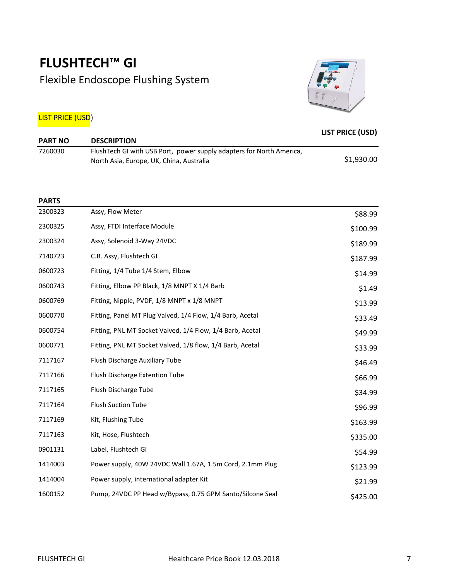## **FLUSHTECH™ GI**  Flexible Endoscope Flushing System



## LIST PRICE (USD)

| <b>PART NO</b> | <b>DESCRIPTION</b>                                                                                               | <b>LIST PRICE (USD)</b> |
|----------------|------------------------------------------------------------------------------------------------------------------|-------------------------|
| 7260030        | FlushTech GI with USB Port, power supply adapters for North America,<br>North Asia, Europe, UK, China, Australia | \$1,930.00              |

|  |  | × |  |
|--|--|---|--|
|  |  |   |  |

| 2300323 | Assy, Flow Meter                                          | \$88.99  |
|---------|-----------------------------------------------------------|----------|
| 2300325 | Assy, FTDI Interface Module                               | \$100.99 |
| 2300324 | Assy, Solenoid 3-Way 24VDC                                | \$189.99 |
| 7140723 | C.B. Assy, Flushtech GI                                   | \$187.99 |
| 0600723 | Fitting, 1/4 Tube 1/4 Stem, Elbow                         | \$14.99  |
| 0600743 | Fitting, Elbow PP Black, 1/8 MNPT X 1/4 Barb              | \$1.49   |
| 0600769 | Fitting, Nipple, PVDF, 1/8 MNPT x 1/8 MNPT                | \$13.99  |
| 0600770 | Fitting, Panel MT Plug Valved, 1/4 Flow, 1/4 Barb, Acetal | \$33.49  |
| 0600754 | Fitting, PNL MT Socket Valved, 1/4 Flow, 1/4 Barb, Acetal | \$49.99  |
| 0600771 | Fitting, PNL MT Socket Valved, 1/8 flow, 1/4 Barb, Acetal | \$33.99  |
| 7117167 | Flush Discharge Auxiliary Tube                            | \$46.49  |
| 7117166 | Flush Discharge Extention Tube                            | \$66.99  |
| 7117165 | Flush Discharge Tube                                      | \$34.99  |
| 7117164 | <b>Flush Suction Tube</b>                                 | \$96.99  |
| 7117169 | Kit, Flushing Tube                                        | \$163.99 |
| 7117163 | Kit, Hose, Flushtech                                      | \$335.00 |
| 0901131 | Label, Flushtech GI                                       | \$54.99  |
| 1414003 | Power supply, 40W 24VDC Wall 1.67A, 1.5m Cord, 2.1mm Plug | \$123.99 |
| 1414004 | Power supply, international adapter Kit                   | \$21.99  |
| 1600152 | Pump, 24VDC PP Head w/Bypass, 0.75 GPM Santo/Silcone Seal | \$425.00 |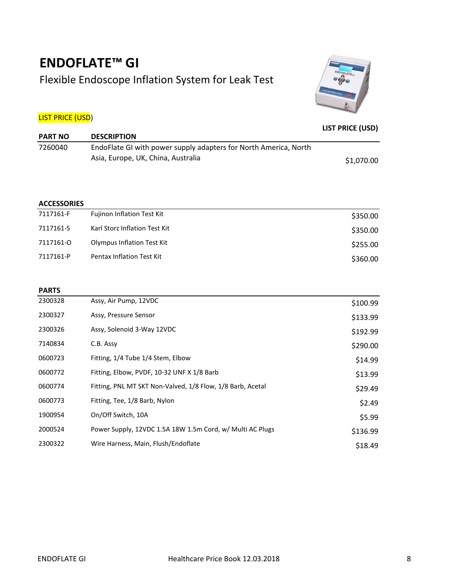## **ENDOFLATE™ GI**  Flexible Endoscope Inflation System for Leak Test



## LIST PRICE (USD)

| <b>PART NO</b> | <b>DESCRIPTION</b>                                                                                     | <b>LIST PRICE (USD)</b> |
|----------------|--------------------------------------------------------------------------------------------------------|-------------------------|
| 7260040        | EndoFlate GI with power supply adapters for North America, North<br>Asia, Europe, UK, China, Australia |                         |
|                |                                                                                                        | \$1,070.00              |

#### **ACCESSORIES**

| 7117161-F | <b>Fujinon Inflation Test Kit</b> | \$350.00 |
|-----------|-----------------------------------|----------|
| 7117161-S | Karl Storz Inflation Test Kit     | \$350.00 |
| 7117161-0 | <b>Olympus Inflation Test Kit</b> | \$255.00 |
| 7117161-P | Pentax Inflation Test Kit         | \$360.00 |

#### **PARTS**

| 2300328 | Assy, Air Pump, 12VDC                                      | \$100.99 |
|---------|------------------------------------------------------------|----------|
| 2300327 | Assy, Pressure Sensor                                      | \$133.99 |
| 2300326 | Assy, Solenoid 3-Way 12VDC                                 | \$192.99 |
| 7140834 | C.B. Assy                                                  | \$290.00 |
| 0600723 | Fitting, 1/4 Tube 1/4 Stem, Elbow                          | \$14.99  |
| 0600772 | Fitting, Elbow, PVDF, 10-32 UNF X 1/8 Barb                 | \$13.99  |
| 0600774 | Fitting, PNL MT SKT Non-Valved, 1/8 Flow, 1/8 Barb, Acetal | \$29.49  |
| 0600773 | Fitting, Tee, 1/8 Barb, Nylon                              | \$2.49   |
| 1900954 | On/Off Switch, 10A                                         | \$5.99   |
| 2000524 | Power Supply, 12VDC 1.5A 18W 1.5m Cord, w/ Multi AC Plugs  | \$136.99 |
| 2300322 | Wire Harness, Main, Flush/Endoflate                        | \$18.49  |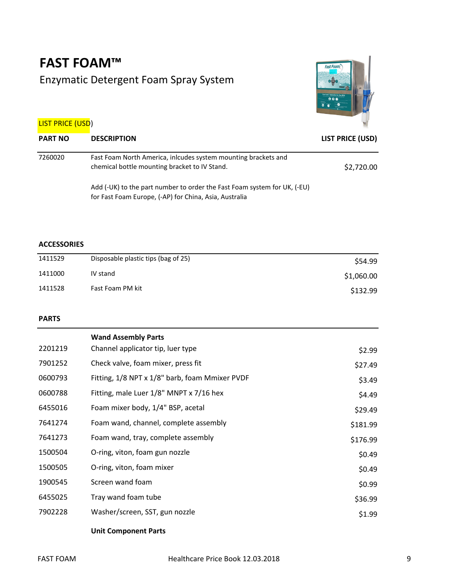## **FAST FOAM™** Enzymatic Detergent Foam Spray System



## LIST PRICE (USD)

| <b>PART NO</b> | <b>DESCRIPTION</b>                                                                                              | LIST PRICE (USD) |
|----------------|-----------------------------------------------------------------------------------------------------------------|------------------|
| 7260020        | Fast Foam North America, inlcudes system mounting brackets and<br>chemical bottle mounting bracket to IV Stand. | \$2,720.00       |
|                | Add (-UK) to the part number to order the Fast Foam system for UK, (-EU)                                        |                  |

for Fast Foam Europe, (-AP) for China, Asia, Australia

### **ACCESSORIES**

| 1411529 | Disposable plastic tips (bag of 25) | \$54.99    |
|---------|-------------------------------------|------------|
| 1411000 | IV stand                            | \$1,060.00 |
| 1411528 | Fast Foam PM kit                    | \$132.99   |

#### **PARTS**

|         | <b>Wand Assembly Parts</b>                     |          |
|---------|------------------------------------------------|----------|
| 2201219 | Channel applicator tip, luer type              | \$2.99   |
| 7901252 | Check valve, foam mixer, press fit             | \$27.49  |
| 0600793 | Fitting, 1/8 NPT x 1/8" barb, foam Mmixer PVDF | \$3.49   |
| 0600788 | Fitting, male Luer 1/8" MNPT x 7/16 hex        | \$4.49   |
| 6455016 | Foam mixer body, 1/4" BSP, acetal              | \$29.49  |
| 7641274 | Foam wand, channel, complete assembly          | \$181.99 |
| 7641273 | Foam wand, tray, complete assembly             | \$176.99 |
| 1500504 | O-ring, viton, foam gun nozzle                 | \$0.49   |
| 1500505 | O-ring, viton, foam mixer                      | \$0.49   |
| 1900545 | Screen wand foam                               | \$0.99   |
| 6455025 | Tray wand foam tube                            | \$36.99  |
| 7902228 | Washer/screen, SST, gun nozzle                 | \$1.99   |

#### **Unit Component Parts**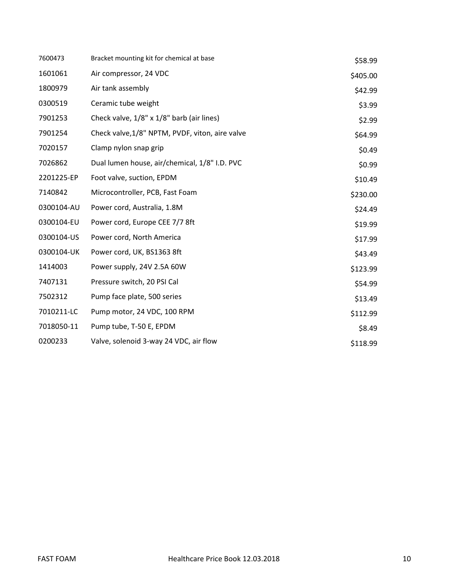| 7600473    | Bracket mounting kit for chemical at base       | \$58.99  |
|------------|-------------------------------------------------|----------|
| 1601061    | Air compressor, 24 VDC                          | \$405.00 |
| 1800979    | Air tank assembly                               | \$42.99  |
| 0300519    | Ceramic tube weight                             | \$3.99   |
| 7901253    | Check valve, 1/8" x 1/8" barb (air lines)       | \$2.99   |
| 7901254    | Check valve, 1/8" NPTM, PVDF, viton, aire valve | \$64.99  |
| 7020157    | Clamp nylon snap grip                           | \$0.49   |
| 7026862    | Dual lumen house, air/chemical, 1/8" I.D. PVC   | \$0.99   |
| 2201225-EP | Foot valve, suction, EPDM                       | \$10.49  |
| 7140842    | Microcontroller, PCB, Fast Foam                 | \$230.00 |
| 0300104-AU | Power cord, Australia, 1.8M                     | \$24.49  |
| 0300104-EU | Power cord, Europe CEE 7/7 8ft                  | \$19.99  |
| 0300104-US | Power cord, North America                       | \$17.99  |
| 0300104-UK | Power cord, UK, BS1363 8ft                      | \$43.49  |
| 1414003    | Power supply, 24V 2.5A 60W                      | \$123.99 |
| 7407131    | Pressure switch, 20 PSI Cal                     | \$54.99  |
| 7502312    | Pump face plate, 500 series                     | \$13.49  |
| 7010211-LC | Pump motor, 24 VDC, 100 RPM                     | \$112.99 |
| 7018050-11 | Pump tube, T-50 E, EPDM                         | \$8.49   |
| 0200233    | Valve, solenoid 3-way 24 VDC, air flow          | \$118.99 |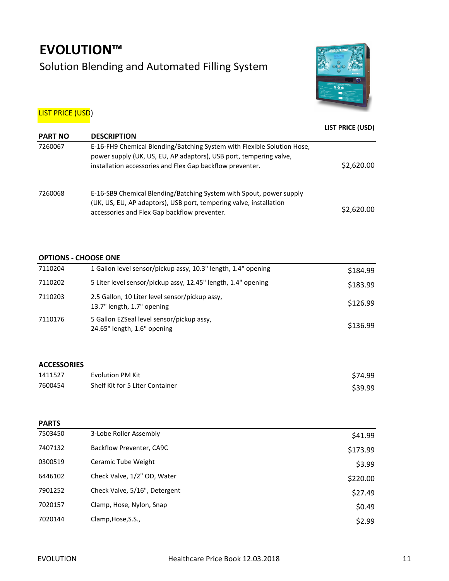# **EVOLUTION™** Solution Blending and Automated Filling System



### **LIST PRICE (USD)**

|                |                                                                                                                                                                                                            | LIST PRICE (USD) |
|----------------|------------------------------------------------------------------------------------------------------------------------------------------------------------------------------------------------------------|------------------|
| <b>PART NO</b> | <b>DESCRIPTION</b>                                                                                                                                                                                         |                  |
| 7260067        | E-16-FH9 Chemical Blending/Batching System with Flexible Solution Hose,<br>power supply (UK, US, EU, AP adaptors), USB port, tempering valve,<br>installation accessories and Flex Gap backflow preventer. | \$2,620.00       |
| 7260068        | E-16-SB9 Chemical Blending/Batching System with Spout, power supply<br>(UK, US, EU, AP adaptors), USB port, tempering valve, installation<br>accessories and Flex Gap backflow preventer.                  | \$2,620.00       |

#### **OPTIONS - CHOOSE ONE**

| 7110204 | 1 Gallon level sensor/pickup assy, 10.3" length, 1.4" opening                | \$184.99 |
|---------|------------------------------------------------------------------------------|----------|
| 7110202 | 5 Liter level sensor/pickup assy, 12.45" length, 1.4" opening                | \$183.99 |
| 7110203 | 2.5 Gallon, 10 Liter level sensor/pickup assy.<br>13.7" length, 1.7" opening | \$126.99 |
| 7110176 | 5 Gallon EZSeal level sensor/pickup assy.<br>24.65" length, 1.6" opening     | \$136.99 |

#### **ACCESSORIES**

| 1411527 | Evolution PM Kit                | \$74.99 |
|---------|---------------------------------|---------|
| 7600454 | Shelf Kit for 5 Liter Container | \$39.99 |

#### **PARTS**

| 7503450 | 3-Lobe Roller Assembly        | \$41.99  |
|---------|-------------------------------|----------|
| 7407132 | Backflow Preventer, CA9C      | \$173.99 |
| 0300519 | Ceramic Tube Weight           | \$3.99   |
| 6446102 | Check Valve, 1/2" OD, Water   | \$220.00 |
| 7901252 | Check Valve, 5/16", Detergent | \$27.49  |
| 7020157 | Clamp, Hose, Nylon, Snap      | \$0.49   |
| 7020144 | Clamp, Hose, S.S.,            | \$2.99   |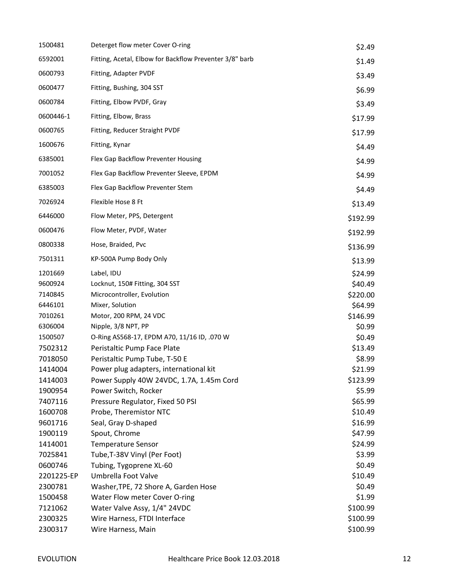| 1500481    | Deterget flow meter Cover O-ring                        | \$2.49             |
|------------|---------------------------------------------------------|--------------------|
| 6592001    | Fitting, Acetal, Elbow for Backflow Preventer 3/8" barb | \$1.49             |
| 0600793    | Fitting, Adapter PVDF                                   | \$3.49             |
| 0600477    | Fitting, Bushing, 304 SST                               | \$6.99             |
| 0600784    | Fitting, Elbow PVDF, Gray                               | \$3.49             |
| 0600446-1  | Fitting, Elbow, Brass                                   | \$17.99            |
| 0600765    | Fitting, Reducer Straight PVDF                          | \$17.99            |
| 1600676    | Fitting, Kynar                                          | \$4.49             |
| 6385001    | Flex Gap Backflow Preventer Housing                     | \$4.99             |
| 7001052    | Flex Gap Backflow Preventer Sleeve, EPDM                | \$4.99             |
| 6385003    | Flex Gap Backflow Preventer Stem                        | \$4.49             |
| 7026924    | Flexible Hose 8 Ft                                      | \$13.49            |
| 6446000    | Flow Meter, PPS, Detergent                              | \$192.99           |
| 0600476    | Flow Meter, PVDF, Water                                 | \$192.99           |
| 0800338    | Hose, Braided, Pvc                                      | \$136.99           |
| 7501311    | KP-500A Pump Body Only                                  | \$13.99            |
| 1201669    | Label, IDU                                              |                    |
| 9600924    | Locknut, 150# Fitting, 304 SST                          | \$24.99<br>\$40.49 |
| 7140845    | Microcontroller, Evolution                              | \$220.00           |
| 6446101    | Mixer, Solution                                         | \$64.99            |
| 7010261    | Motor, 200 RPM, 24 VDC                                  | \$146.99           |
| 6306004    | Nipple, 3/8 NPT, PP                                     | \$0.99             |
| 1500507    | O-Ring AS568-17, EPDM A70, 11/16 ID, .070 W             | \$0.49             |
| 7502312    | Peristaltic Pump Face Plate                             | \$13.49            |
| 7018050    | Peristaltic Pump Tube, T-50 E                           | \$8.99             |
| 1414004    | Power plug adapters, international kit                  | \$21.99            |
| 1414003    | Power Supply 40W 24VDC, 1.7A, 1.45m Cord                | \$123.99           |
| 1900954    | Power Switch, Rocker                                    | \$5.99             |
| 7407116    | Pressure Regulator, Fixed 50 PSI                        | \$65.99            |
| 1600708    | Probe, Theremistor NTC                                  | \$10.49            |
| 9601716    | Seal, Gray D-shaped                                     | \$16.99            |
| 1900119    | Spout, Chrome                                           | \$47.99            |
| 1414001    | <b>Temperature Sensor</b>                               | \$24.99            |
| 7025841    | Tube, T-38V Vinyl (Per Foot)                            | \$3.99             |
| 0600746    | Tubing, Tygoprene XL-60                                 | \$0.49             |
| 2201225-EP | Umbrella Foot Valve                                     | \$10.49            |
| 2300781    | Washer, TPE, 72 Shore A, Garden Hose                    | \$0.49             |
| 1500458    | Water Flow meter Cover O-ring                           | \$1.99             |
| 7121062    | Water Valve Assy, 1/4" 24VDC                            | \$100.99           |
| 2300325    | Wire Harness, FTDI Interface                            | \$100.99           |
| 2300317    | Wire Harness, Main                                      | \$100.99           |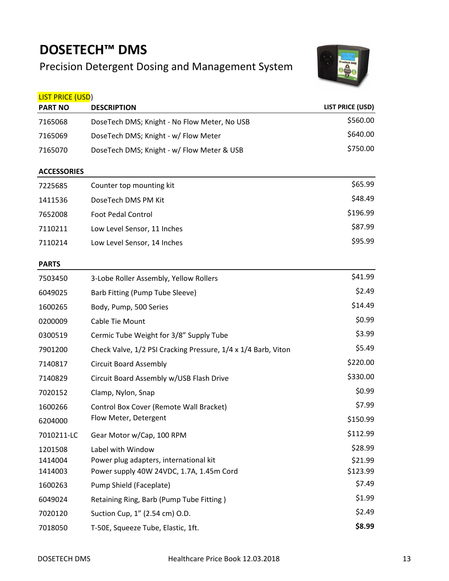## **DOSETECH™ DMS**

## Precision Detergent Dosing and Management System



| <b>LIST PRICE (USD)</b> |                                                               |                         |
|-------------------------|---------------------------------------------------------------|-------------------------|
| <b>PART NO</b>          | <b>DESCRIPTION</b>                                            | <b>LIST PRICE (USD)</b> |
| 7165068                 | DoseTech DMS; Knight - No Flow Meter, No USB                  | \$560.00                |
| 7165069                 | DoseTech DMS; Knight - w/ Flow Meter                          | \$640.00                |
| 7165070                 | DoseTech DMS; Knight - w/ Flow Meter & USB                    | \$750.00                |
| <b>ACCESSORIES</b>      |                                                               |                         |
| 7225685                 | Counter top mounting kit                                      | \$65.99                 |
| 1411536                 | DoseTech DMS PM Kit                                           | \$48.49                 |
| 7652008                 | <b>Foot Pedal Control</b>                                     | \$196.99                |
| 7110211                 | Low Level Sensor, 11 Inches                                   | \$87.99                 |
| 7110214                 | Low Level Sensor, 14 Inches                                   | \$95.99                 |
| <b>PARTS</b>            |                                                               |                         |
| 7503450                 | 3-Lobe Roller Assembly, Yellow Rollers                        | \$41.99                 |
| 6049025                 | Barb Fitting (Pump Tube Sleeve)                               | \$2.49                  |
| 1600265                 | Body, Pump, 500 Series                                        | \$14.49                 |
| 0200009                 | Cable Tie Mount                                               | \$0.99                  |
| 0300519                 | Cermic Tube Weight for 3/8" Supply Tube                       | \$3.99                  |
| 7901200                 | Check Valve, 1/2 PSI Cracking Pressure, 1/4 x 1/4 Barb, Viton | \$5.49                  |
| 7140817                 | <b>Circuit Board Assembly</b>                                 | \$220.00                |
| 7140829                 | Circuit Board Assembly w/USB Flash Drive                      | \$330.00                |
| 7020152                 | Clamp, Nylon, Snap                                            | \$0.99                  |
| 1600266                 | Control Box Cover (Remote Wall Bracket)                       | \$7.99                  |
| 6204000                 | Flow Meter, Detergent                                         | \$150.99                |
| 7010211-LC              | Gear Motor w/Cap, 100 RPM                                     | \$112.99                |
| 1201508                 | Label with Window                                             | \$28.99                 |
| 1414004                 | Power plug adapters, international kit                        | \$21.99                 |
| 1414003                 | Power supply 40W 24VDC, 1.7A, 1.45m Cord                      | \$123.99                |
| 1600263                 | Pump Shield (Faceplate)                                       | \$7.49                  |
| 6049024                 | Retaining Ring, Barb (Pump Tube Fitting)                      | \$1.99                  |
| 7020120                 | Suction Cup, 1" (2.54 cm) O.D.                                | \$2.49                  |
| 7018050                 | T-50E, Squeeze Tube, Elastic, 1ft.                            | \$8.99                  |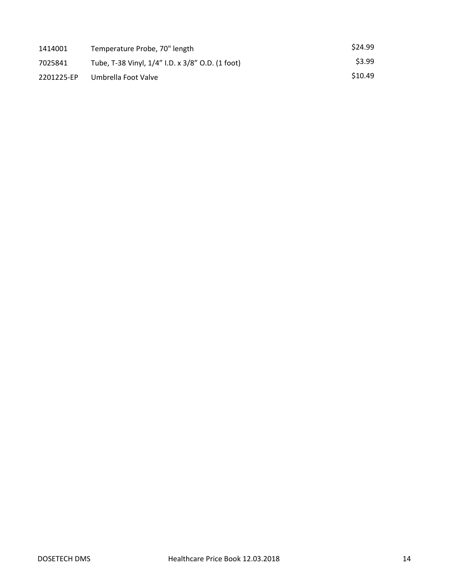| 1414001    | Temperature Probe, 70" length                    | \$24.99 |
|------------|--------------------------------------------------|---------|
| 7025841    | Tube, T-38 Vinyl, 1/4" I.D. x 3/8" O.D. (1 foot) | \$3.99  |
| 2201225-EP | Umbrella Foot Valve                              | \$10.49 |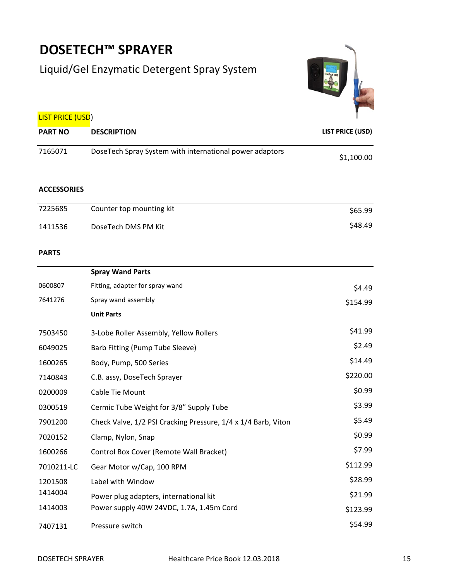# **DOSETECH™ SPRAYER**

## Liquid/Gel Enzymatic Detergent Spray System



| <b>LIST PRICE (USD)</b> |
|-------------------------|
|-------------------------|

| <b>PART NO</b> | <b>DESCRIPTION</b>                                      | <b>LIST PRICE (USD)</b> |
|----------------|---------------------------------------------------------|-------------------------|
| 7165071        | DoseTech Spray System with international power adaptors | \$1,100.00              |

### **ACCESSORIES**

| 7225685 | Counter top mounting kit | \$65.99 |
|---------|--------------------------|---------|
| 1411536 | DoseTech DMS PM Kit      | \$48.49 |

### **PARTS**

|            | <b>Spray Wand Parts</b>                                       |          |
|------------|---------------------------------------------------------------|----------|
| 0600807    | Fitting, adapter for spray wand                               | \$4.49   |
| 7641276    | Spray wand assembly                                           | \$154.99 |
|            | <b>Unit Parts</b>                                             |          |
| 7503450    | 3-Lobe Roller Assembly, Yellow Rollers                        | \$41.99  |
| 6049025    | Barb Fitting (Pump Tube Sleeve)                               | \$2.49   |
| 1600265    | Body, Pump, 500 Series                                        | \$14.49  |
| 7140843    | C.B. assy, DoseTech Sprayer                                   | \$220.00 |
| 0200009    | Cable Tie Mount                                               | \$0.99   |
| 0300519    | Cermic Tube Weight for 3/8" Supply Tube                       | \$3.99   |
| 7901200    | Check Valve, 1/2 PSI Cracking Pressure, 1/4 x 1/4 Barb, Viton | \$5.49   |
| 7020152    | Clamp, Nylon, Snap                                            | \$0.99   |
| 1600266    | Control Box Cover (Remote Wall Bracket)                       | \$7.99   |
| 7010211-LC | Gear Motor w/Cap, 100 RPM                                     | \$112.99 |
| 1201508    | Label with Window                                             | \$28.99  |
| 1414004    | Power plug adapters, international kit                        | \$21.99  |
| 1414003    | Power supply 40W 24VDC, 1.7A, 1.45m Cord                      | \$123.99 |
| 7407131    | Pressure switch                                               | \$54.99  |